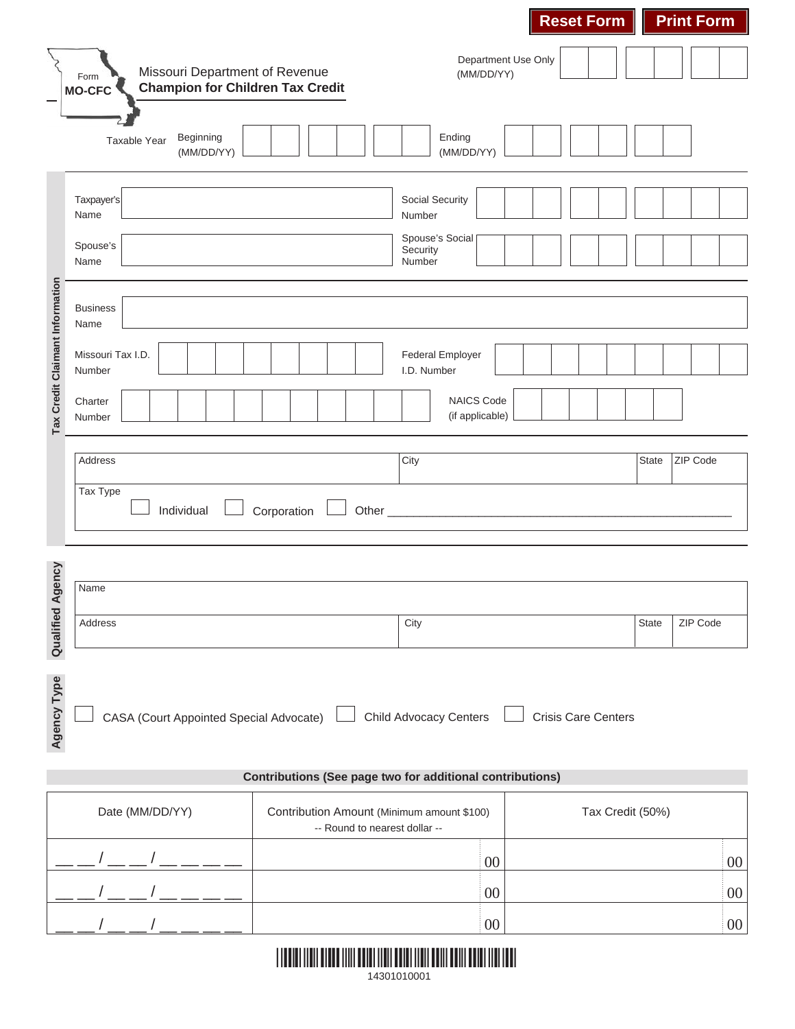|                                                                  |                                                                                                        | <b>Reset Form</b>                                                                               | <b>Print Form</b> |  |  |  |  |  |
|------------------------------------------------------------------|--------------------------------------------------------------------------------------------------------|-------------------------------------------------------------------------------------------------|-------------------|--|--|--|--|--|
|                                                                  | Missouri Department of Revenue<br>Form<br><b>Champion for Children Tax Credit</b><br><b>MO-CFC</b>     | Department Use Only<br>(MM/DD/YY)                                                               |                   |  |  |  |  |  |
|                                                                  | Beginning<br>Taxable Year<br>(MM/DD/YY)                                                                | Ending<br>(MM/DD/YY)                                                                            |                   |  |  |  |  |  |
|                                                                  | Taxpayer's<br>Name                                                                                     | Social Security<br>Number                                                                       |                   |  |  |  |  |  |
|                                                                  | Spouse's<br>Name                                                                                       | Spouse's Social<br>Security<br>Number                                                           |                   |  |  |  |  |  |
| Tax Credit Claimant Information                                  | <b>Business</b><br>Name                                                                                |                                                                                                 |                   |  |  |  |  |  |
|                                                                  | Missouri Tax I.D.<br>Number                                                                            | <b>Federal Employer</b><br>I.D. Number                                                          |                   |  |  |  |  |  |
|                                                                  | Charter<br>Number                                                                                      | NAICS Code<br>(if applicable)                                                                   |                   |  |  |  |  |  |
|                                                                  | Address                                                                                                | City                                                                                            | ZIP Code<br>State |  |  |  |  |  |
|                                                                  | Tax Type<br>Individual                                                                                 | Other<br>Corporation                                                                            |                   |  |  |  |  |  |
| ency                                                             |                                                                                                        |                                                                                                 |                   |  |  |  |  |  |
|                                                                  | Name                                                                                                   |                                                                                                 |                   |  |  |  |  |  |
| <b>Qualified Ag</b>                                              | Address                                                                                                | City                                                                                            | ZIP Code<br>State |  |  |  |  |  |
| Agency Type                                                      | <b>Child Advocacy Centers</b><br>CASA (Court Appointed Special Advocate)<br><b>Crisis Care Centers</b> |                                                                                                 |                   |  |  |  |  |  |
| <b>Contributions (See page two for additional contributions)</b> |                                                                                                        |                                                                                                 |                   |  |  |  |  |  |
|                                                                  | Date (MM/DD/YY)                                                                                        | Contribution Amount (Minimum amount \$100)<br>Tax Credit (50%)<br>-- Round to nearest dollar -- |                   |  |  |  |  |  |
|                                                                  |                                                                                                        | 00                                                                                              | $00\,$            |  |  |  |  |  |
|                                                                  |                                                                                                        | 00                                                                                              | $00\,$            |  |  |  |  |  |
|                                                                  |                                                                                                        | 00                                                                                              | $00\,$            |  |  |  |  |  |